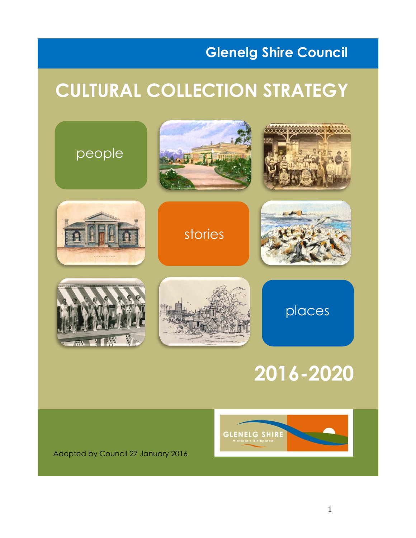# **Glenelg Shire Council**

# **CULTURAL COLLECTION STRATEGY**



# **2016-2020**



Adopted by Council 27 January 2016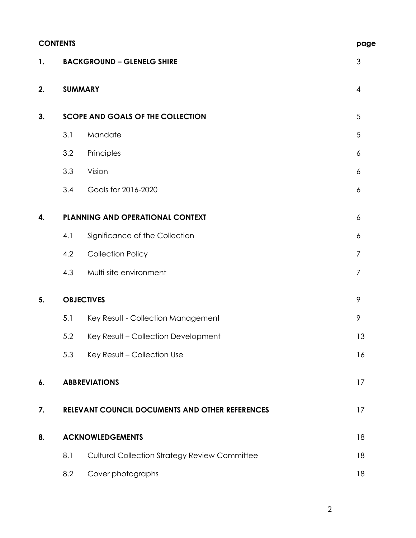|    | <b>CONTENTS</b>                                 |                                                      |                |  |
|----|-------------------------------------------------|------------------------------------------------------|----------------|--|
| 1. |                                                 | <b>BACKGROUND - GLENELG SHIRE</b>                    | $\mathfrak{S}$ |  |
| 2. | <b>SUMMARY</b>                                  |                                                      | $\overline{4}$ |  |
| 3. |                                                 | <b>SCOPE AND GOALS OF THE COLLECTION</b>             | 5              |  |
|    | 3.1                                             | Mandate                                              | 5              |  |
|    | 3.2                                             | Principles                                           | 6              |  |
|    | 3.3                                             | Vision                                               | 6              |  |
|    | 3.4                                             | Goals for 2016-2020                                  | 6              |  |
| 4. |                                                 | PLANNING AND OPERATIONAL CONTEXT                     | 6              |  |
|    | 4.1                                             | Significance of the Collection                       | 6              |  |
|    | 4.2                                             | <b>Collection Policy</b>                             | 7              |  |
|    | 4.3                                             | Multi-site environment                               | $\overline{7}$ |  |
| 5. |                                                 | <b>OBJECTIVES</b>                                    | 9              |  |
|    | 5.1                                             | Key Result - Collection Management                   | 9              |  |
|    | 5.2                                             | Key Result - Collection Development                  | 13             |  |
|    | 5.3                                             | Key Result - Collection Use                          | 16             |  |
| 6. |                                                 | <b>ABBREVIATIONS</b>                                 | 17             |  |
| 7. | RELEVANT COUNCIL DOCUMENTS AND OTHER REFERENCES |                                                      |                |  |
| 8. |                                                 | <b>ACKNOWLEDGEMENTS</b>                              | 18             |  |
|    | 8.1                                             | <b>Cultural Collection Strategy Review Committee</b> | 18             |  |
|    | 8.2                                             | Cover photographs                                    | 18             |  |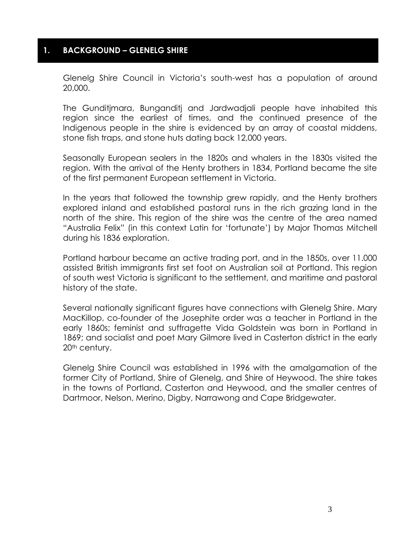#### **1. BACKGROUND – GLENELG SHIRE**

Glenelg Shire Council in Victoria's south-west has a population of around 20,000.

The Gunditjmara, Bunganditj and Jardwadjali people have inhabited this region since the earliest of times, and the continued presence of the Indigenous people in the shire is evidenced by an array of coastal middens, stone fish traps, and stone huts dating back 12,000 years.

Seasonally European sealers in the 1820s and whalers in the 1830s visited the region. With the arrival of the Henty brothers in 1834, Portland became the site of the first permanent European settlement in Victoria.

In the years that followed the township grew rapidly, and the Henty brothers explored inland and established pastoral runs in the rich grazing land in the north of the shire. This region of the shire was the centre of the area named "Australia Felix" (in this context Latin for 'fortunate') by Major Thomas Mitchell during his 1836 exploration.

Portland harbour became an active trading port, and in the 1850s, over 11.000 assisted British immigrants first set foot on Australian soil at Portland. This region of south west Victoria is significant to the settlement, and maritime and pastoral history of the state.

Several nationally significant figures have connections with Glenelg Shire. Mary MacKillop, co-founder of the Josephite order was a teacher in Portland in the early 1860s; feminist and suffragette Vida Goldstein was born in Portland in 1869; and socialist and poet Mary Gilmore lived in Casterton district in the early 20<sup>th</sup> century.

Glenelg Shire Council was established in 1996 with the amalgamation of the former City of Portland, Shire of Glenelg, and Shire of Heywood. The shire takes in the towns of Portland, Casterton and Heywood, and the smaller centres of Dartmoor, Nelson, Merino, Digby, Narrawong and Cape Bridgewater.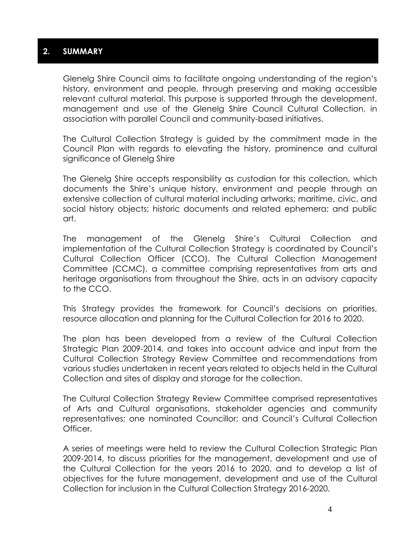#### **2. SUMMARY**

Glenelg Shire Council aims to facilitate ongoing understanding of the region's history, environment and people, through preserving and making accessible relevant cultural material. This purpose is supported through the development, management and use of the Glenelg Shire Council Cultural Collection, in association with parallel Council and community-based initiatives.

The Cultural Collection Strategy is guided by the commitment made in the Council Plan with regards to elevating the history, prominence and cultural significance of Glenelg Shire

The Glenelg Shire accepts responsibility as custodian for this collection, which documents the Shire's unique history, environment and people through an extensive collection of cultural material including artworks; maritime, civic, and social history objects; historic documents and related ephemera; and public art.

The management of the Glenelg Shire's Cultural Collection and implementation of the Cultural Collection Strategy is coordinated by Council's Cultural Collection Officer (CCO). The Cultural Collection Management Committee (CCMC), a committee comprising representatives from arts and heritage organisations from throughout the Shire, acts in an advisory capacity to the CCO.

This Strategy provides the framework for Council's decisions on priorities, resource allocation and planning for the Cultural Collection for 2016 to 2020.

The plan has been developed from a review of the Cultural Collection Strategic Plan 2009-2014, and takes into account advice and input from the Cultural Collection Strategy Review Committee and recommendations from various studies undertaken in recent years related to objects held in the Cultural Collection and sites of display and storage for the collection.

The Cultural Collection Strategy Review Committee comprised representatives of Arts and Cultural organisations, stakeholder agencies and community representatives; one nominated Councillor; and Council's Cultural Collection Officer.

A series of meetings were held to review the Cultural Collection Strategic Plan 2009-2014, to discuss priorities for the management, development and use of the Cultural Collection for the years 2016 to 2020, and to develop a list of objectives for the future management, development and use of the Cultural Collection for inclusion in the Cultural Collection Strategy 2016-2020.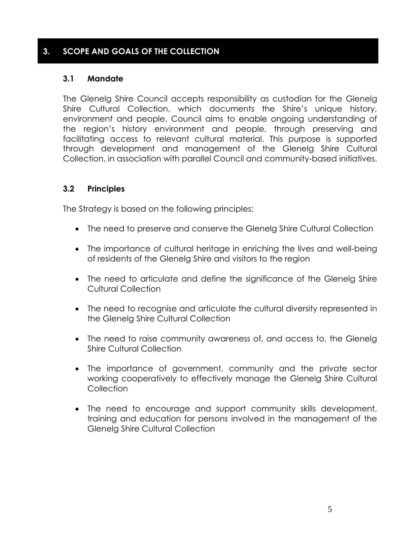#### **3. SCOPE AND GOALS OF THE COLLECTION**

#### **3.1 Mandate**

The Glenelg Shire Council accepts responsibility as custodian for the Glenelg Shire Cultural Collection, which documents the Shire's unique history, environment and people. Council aims to enable ongoing understanding of the region's history environment and people, through preserving and facilitating access to relevant cultural material. This purpose is supported through development and management of the Glenelg Shire Cultural Collection, in association with parallel Council and community-based initiatives.

#### **3.2 Principles**

The Strategy is based on the following principles:

- The need to preserve and conserve the Glenelg Shire Cultural Collection
- The importance of cultural heritage in enriching the lives and well-being of residents of the Glenelg Shire and visitors to the region
- The need to articulate and define the significance of the Glenelg Shire Cultural Collection
- The need to recognise and articulate the cultural diversity represented in the Glenelg Shire Cultural Collection
- The need to raise community awareness of, and access to, the Glenelg Shire Cultural Collection
- The importance of government, community and the private sector working cooperatively to effectively manage the Glenelg Shire Cultural **Collection**
- The need to encourage and support community skills development, training and education for persons involved in the management of the Glenelg Shire Cultural Collection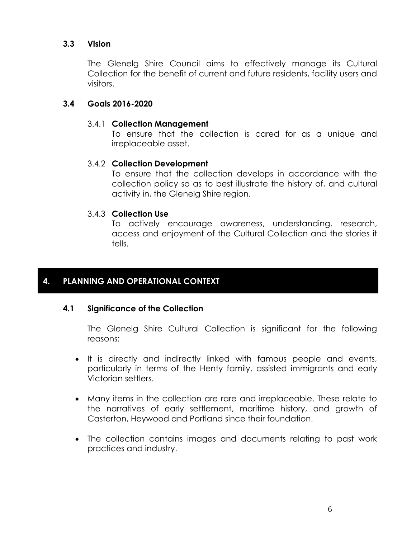#### **3.3 Vision**

The Glenelg Shire Council aims to effectively manage its Cultural Collection for the benefit of current and future residents, facility users and visitors.

#### **3.4 Goals 2016-2020**

#### 3.4.1 **Collection Management**

To ensure that the collection is cared for as a unique and irreplaceable asset.

#### 3.4.2 **Collection Development**

To ensure that the collection develops in accordance with the collection policy so as to best illustrate the history of, and cultural activity in, the Glenelg Shire region.

#### 3.4.3 **Collection Use**

To actively encourage awareness, understanding, research, access and enjoyment of the Cultural Collection and the stories it tells.

#### **4. PLANNING AND OPERATIONAL CONTEXT**

#### **4.1 Significance of the Collection**

The Glenelg Shire Cultural Collection is significant for the following reasons:

- It is directly and indirectly linked with famous people and events, particularly in terms of the Henty family, assisted immigrants and early Victorian settlers.
- Many items in the collection are rare and irreplaceable. These relate to the narratives of early settlement, maritime history, and growth of Casterton, Heywood and Portland since their foundation.
- The collection contains images and documents relating to past work practices and industry.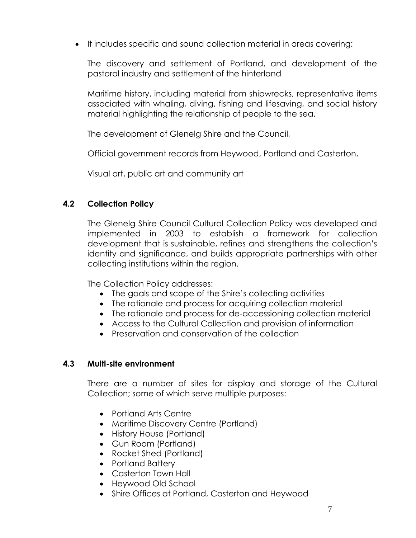It includes specific and sound collection material in areas covering:

The discovery and settlement of Portland, and development of the pastoral industry and settlement of the hinterland

Maritime history, including material from shipwrecks, representative items associated with whaling, diving, fishing and lifesaving, and social history material highlighting the relationship of people to the sea,

The development of Glenelg Shire and the Council,

Official government records from Heywood, Portland and Casterton,

Visual art, public art and community art

#### **4.2 Collection Policy**

The Glenelg Shire Council Cultural Collection Policy was developed and implemented in 2003 to establish a framework for collection development that is sustainable, refines and strengthens the collection's identity and significance, and builds appropriate partnerships with other collecting institutions within the region.

The Collection Policy addresses:

- The goals and scope of the Shire's collecting activities
- The rationale and process for acquiring collection material
- The rationale and process for de-accessioning collection material
- Access to the Cultural Collection and provision of information
- Preservation and conservation of the collection

#### **4.3 Multi-site environment**

There are a number of sites for display and storage of the Cultural Collection; some of which serve multiple purposes:

- Portland Arts Centre
- Maritime Discovery Centre (Portland)
- History House (Portland)
- Gun Room (Portland)
- Rocket Shed (Portland)
- Portland Battery
- Casterton Town Hall
- Heywood Old School
- Shire Offices at Portland, Casterton and Heywood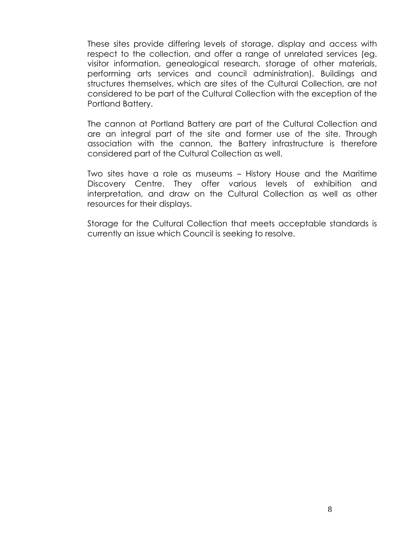These sites provide differing levels of storage, display and access with respect to the collection, and offer a range of unrelated services (eg. visitor information, genealogical research, storage of other materials, performing arts services and council administration). Buildings and structures themselves, which are sites of the Cultural Collection, are not considered to be part of the Cultural Collection with the exception of the Portland Battery.

The cannon at Portland Battery are part of the Cultural Collection and are an integral part of the site and former use of the site. Through association with the cannon, the Battery infrastructure is therefore considered part of the Cultural Collection as well.

Two sites have a role as museums – History House and the Maritime Discovery Centre. They offer various levels of exhibition and interpretation, and draw on the Cultural Collection as well as other resources for their displays.

Storage for the Cultural Collection that meets acceptable standards is currently an issue which Council is seeking to resolve.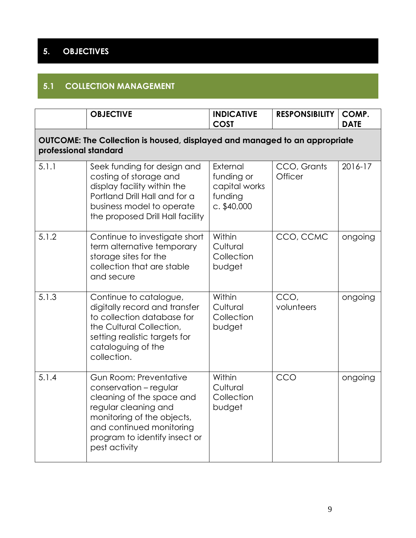# **5. OBJECTIVES**

### **5.1 COLLECTION MANAGEMENT**

|                       | <b>OBJECTIVE</b>                                                                                                                                                                                                         | <b>INDICATIVE</b><br><b>COST</b>                                    | <b>RESPONSIBILITY</b>  | COMP.<br><b>DATE</b> |
|-----------------------|--------------------------------------------------------------------------------------------------------------------------------------------------------------------------------------------------------------------------|---------------------------------------------------------------------|------------------------|----------------------|
| professional standard | OUTCOME: The Collection is housed, displayed and managed to an appropriate                                                                                                                                               |                                                                     |                        |                      |
| 5.1.1                 | Seek funding for design and<br>costing of storage and<br>display facility within the<br>Portland Drill Hall and for a<br>business model to operate<br>the proposed Drill Hall facility                                   | External<br>funding or<br>capital works<br>funding<br>$c.$ \$40,000 | CCO, Grants<br>Officer | 2016-17              |
| 5.1.2                 | Continue to investigate short<br>term alternative temporary<br>storage sites for the<br>collection that are stable<br>and secure                                                                                         | Within<br>Cultural<br>Collection<br>budget                          | CCO, CCMC              | ongoing              |
| 5.1.3                 | Continue to catalogue,<br>digitally record and transfer<br>to collection database for<br>the Cultural Collection,<br>setting realistic targets for<br>cataloguing of the<br>collection.                                  | Within<br>Cultural<br>Collection<br>budget                          | CCO,<br>volunteers     | ongoing              |
| 5.1.4                 | <b>Gun Room: Preventative</b><br>conservation - regular<br>cleaning of the space and<br>regular cleaning and<br>monitoring of the objects,<br>and continued monitoring<br>program to identify insect or<br>pest activity | Within<br>Cultural<br>Collection<br>budget                          | CCO                    | ongoing              |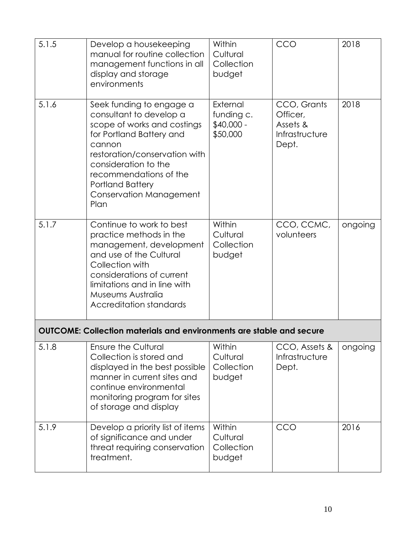| 5.1.5 | Develop a housekeeping<br>manual for routine collection<br>management functions in all<br>display and storage<br>environments                                                                                                                                             | Within<br>Cultural<br>Collection<br>budget        | CCO                                                            | 2018    |
|-------|---------------------------------------------------------------------------------------------------------------------------------------------------------------------------------------------------------------------------------------------------------------------------|---------------------------------------------------|----------------------------------------------------------------|---------|
| 5.1.6 | Seek funding to engage a<br>consultant to develop a<br>scope of works and costings<br>for Portland Battery and<br>cannon<br>restoration/conservation with<br>consideration to the<br>recommendations of the<br><b>Portland Battery</b><br>Conservation Management<br>Plan | External<br>funding c.<br>$$40,000 -$<br>\$50,000 | CCO, Grants<br>Officer,<br>Assets &<br>Infrastructure<br>Dept. | 2018    |
| 5.1.7 | Continue to work to best<br>practice methods in the<br>management, development<br>and use of the Cultural<br>Collection with<br>considerations of current<br>limitations and in line with<br>Museums Australia<br>Accreditation standards                                 | Within<br>Cultural<br>Collection<br>budget        | CCO, CCMC,<br>volunteers                                       | ongoing |
|       | <b>OUTCOME: Collection materials and environments are stable and secure</b>                                                                                                                                                                                               |                                                   |                                                                |         |
| 5.1.8 | <b>Ensure the Cultural</b><br>Collection is stored and<br>displayed in the best possible<br>manner in current sites and<br>continue environmental<br>monitoring program for sites<br>of storage and display                                                               | Within<br>Cultural<br>Collection<br>budget        | CCO, Assets &<br>Infrastructure<br>Dept.                       | ongoing |
| 5.1.9 | Develop a priority list of items<br>of significance and under<br>threat requiring conservation<br>treatment.                                                                                                                                                              | Within<br>Cultural<br>Collection<br>budget        | CCO                                                            | 2016    |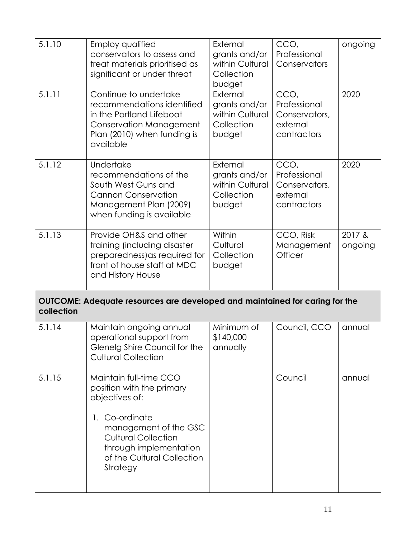| 5.1.10     | <b>Employ qualified</b><br>conservators to assess and<br>treat materials prioritised as<br>significant or under threat                                                                                             | External<br>grants and/or<br>within Cultural<br>Collection<br>budget | CCO,<br>Professional<br>Conservators                             | ongoing           |
|------------|--------------------------------------------------------------------------------------------------------------------------------------------------------------------------------------------------------------------|----------------------------------------------------------------------|------------------------------------------------------------------|-------------------|
| 5.1.11     | Continue to undertake<br>recommendations identified<br>in the Portland Lifeboat<br><b>Conservation Management</b><br>Plan (2010) when funding is<br>available                                                      | External<br>grants and/or<br>within Cultural<br>Collection<br>budget | CCO,<br>Professional<br>Conservators,<br>external<br>contractors | 2020              |
| 5.1.12     | Undertake<br>recommendations of the<br>South West Guns and<br><b>Cannon Conservation</b><br>Management Plan (2009)<br>when funding is available                                                                    | External<br>grants and/or<br>within Cultural<br>Collection<br>budget | CCO,<br>Professional<br>Conservators,<br>external<br>contractors | 2020              |
| 5.1.13     | Provide OH&S and other<br>training (including disaster<br>preparedness) as required for<br>front of house staff at MDC<br>and History House                                                                        | Within<br>Cultural<br>Collection<br>budget                           | CCO, Risk<br>Management<br>Officer                               | 2017 &<br>ongoing |
| collection | OUTCOME: Adequate resources are developed and maintained for caring for the                                                                                                                                        |                                                                      |                                                                  |                   |
| 5.1.14     | Maintain ongoing annual<br>operational support from<br>Glenelg Shire Council for the<br><b>Cultural Collection</b>                                                                                                 | Minimum of<br>\$140,000<br>annually                                  | Council, CCO                                                     | annual            |
| 5.1.15     | Maintain full-time CCO<br>position with the primary<br>objectives of:<br>1. Co-ordinate<br>management of the GSC<br><b>Cultural Collection</b><br>through implementation<br>of the Cultural Collection<br>Strategy |                                                                      | Council                                                          | annual            |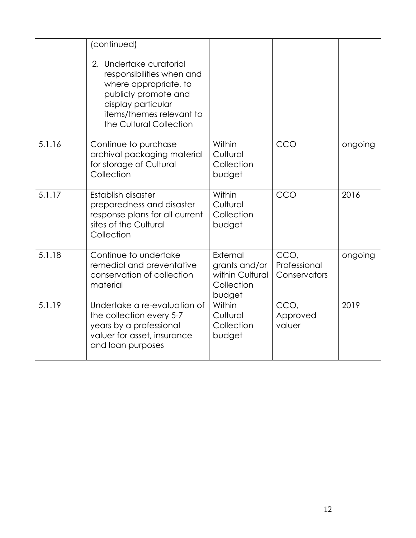|        | (continued)<br>2. Undertake curatorial<br>responsibilities when and<br>where appropriate, to<br>publicly promote and<br>display particular<br>items/themes relevant to<br>the Cultural Collection |                                                                      |                                      |         |
|--------|---------------------------------------------------------------------------------------------------------------------------------------------------------------------------------------------------|----------------------------------------------------------------------|--------------------------------------|---------|
| 5.1.16 | Continue to purchase<br>archival packaging material<br>for storage of Cultural<br>Collection                                                                                                      | Within<br>Cultural<br>Collection<br>budget                           | CCO                                  | ongoing |
| 5.1.17 | Establish disaster<br>preparedness and disaster<br>response plans for all current<br>sites of the Cultural<br>Collection                                                                          | Within<br>Cultural<br>Collection<br>budget                           | CCO                                  | 2016    |
| 5.1.18 | Continue to undertake<br>remedial and preventative<br>conservation of collection<br>material                                                                                                      | External<br>grants and/or<br>within Cultural<br>Collection<br>budget | CCO.<br>Professional<br>Conservators | ongoing |
| 5.1.19 | Undertake a re-evaluation of<br>the collection every 5-7<br>years by a professional<br>valuer for asset, insurance<br>and loan purposes                                                           | Within<br>Cultural<br>Collection<br>budget                           | CCO,<br>Approved<br>valuer           | 2019    |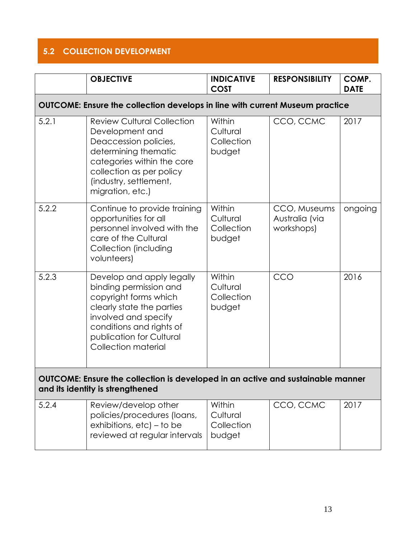### **5.2 COLLECTION DEVELOPMENT**

|                                                                                                                     | <b>OBJECTIVE</b>                                                                                                                                                                                                 | <b>INDICATIVE</b><br><b>COST</b>           | <b>RESPONSIBILITY</b>                        | COMP.<br><b>DATE</b> |
|---------------------------------------------------------------------------------------------------------------------|------------------------------------------------------------------------------------------------------------------------------------------------------------------------------------------------------------------|--------------------------------------------|----------------------------------------------|----------------------|
|                                                                                                                     | OUTCOME: Ensure the collection develops in line with current Museum practice                                                                                                                                     |                                            |                                              |                      |
| 5.2.1                                                                                                               | <b>Review Cultural Collection</b><br>Development and<br>Deaccession policies,<br>determining thematic<br>categories within the core<br>collection as per policy<br>(industry, settlement,<br>migration, etc.)    | Within<br>Cultural<br>Collection<br>budget | CCO, CCMC                                    | 2017                 |
| 5.2.2                                                                                                               | Continue to provide training<br>opportunities for all<br>personnel involved with the<br>care of the Cultural<br>Collection (including<br>volunteers)                                                             | Within<br>Cultural<br>Collection<br>budget | CCO, Museums<br>Australia (via<br>workshops) | ongoing              |
| 5.2.3                                                                                                               | Develop and apply legally<br>binding permission and<br>copyright forms which<br>clearly state the parties<br>involved and specify<br>conditions and rights of<br>publication for Cultural<br>Collection material | Within<br>Cultural<br>Collection<br>budget | CCO                                          | 2016                 |
| OUTCOME: Ensure the collection is developed in an active and sustainable manner<br>and its identity is strengthened |                                                                                                                                                                                                                  |                                            |                                              |                      |
| 5.2.4                                                                                                               | Review/develop other<br>policies/procedures (loans,<br>exhibitions, $etc$ ) – to be<br>reviewed at regular intervals                                                                                             | Within<br>Cultural<br>Collection<br>budget | CCO, CCMC                                    | 2017                 |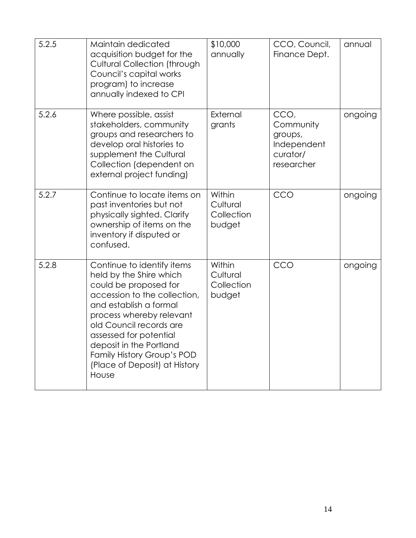| 5.2.5 | Maintain dedicated<br>acquisition budget for the<br><b>Cultural Collection (through</b><br>Council's capital works<br>program) to increase<br>annually indexed to CPI                                                                                                                                                        | \$10,000<br>annually                       | CCO, Council,<br>Finance Dept.                                        | annual  |
|-------|------------------------------------------------------------------------------------------------------------------------------------------------------------------------------------------------------------------------------------------------------------------------------------------------------------------------------|--------------------------------------------|-----------------------------------------------------------------------|---------|
| 5.2.6 | Where possible, assist<br>stakeholders, community<br>groups and researchers to<br>develop oral histories to<br>supplement the Cultural<br>Collection (dependent on<br>external project funding)                                                                                                                              | External<br>grants                         | CCO,<br>Community<br>groups,<br>Independent<br>curator/<br>researcher | ongoing |
| 5.2.7 | Continue to locate items on<br>past inventories but not<br>physically sighted. Clarify<br>ownership of items on the<br>inventory if disputed or<br>confused.                                                                                                                                                                 | Within<br>Cultural<br>Collection<br>budget | CCO                                                                   | ongoing |
| 5.2.8 | Continue to identify items<br>held by the Shire which<br>could be proposed for<br>accession to the collection,<br>and establish a formal<br>process whereby relevant<br>old Council records are<br>assessed for potential<br>deposit in the Portland<br>Family History Group's POD<br>(Place of Deposit) at History<br>House | Within<br>Cultural<br>Collection<br>budget | CCO                                                                   | ongoing |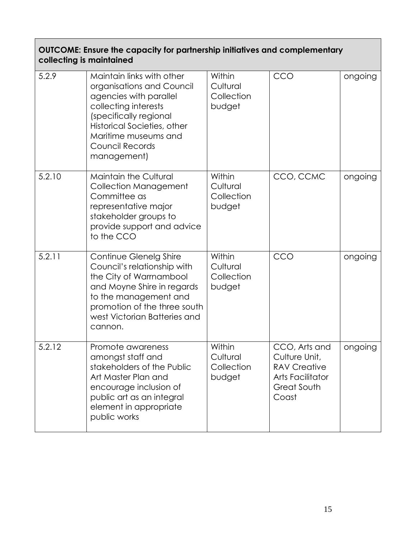#### **OUTCOME: Ensure the capacity for partnership initiatives and complementary collecting is maintained**

| 5.2.9  | Maintain links with other<br>organisations and Council<br>agencies with parallel<br>collecting interests<br>(specifically regional<br>Historical Societies, other<br>Maritime museums and<br>Council Records<br>management) | Within<br>Cultural<br>Collection<br>budget | CCO                                                                                                      | ongoing |
|--------|-----------------------------------------------------------------------------------------------------------------------------------------------------------------------------------------------------------------------------|--------------------------------------------|----------------------------------------------------------------------------------------------------------|---------|
| 5.2.10 | <b>Maintain the Cultural</b><br><b>Collection Management</b><br>Committee as<br>representative major<br>stakeholder groups to<br>provide support and advice<br>to the CCO                                                   | Within<br>Cultural<br>Collection<br>budget | CCO, CCMC                                                                                                | ongoing |
| 5.2.11 | Continue Glenelg Shire<br>Council's relationship with<br>the City of Warrnambool<br>and Moyne Shire in regards<br>to the management and<br>promotion of the three south<br>west Victorian Batteries and<br>cannon.          | Within<br>Cultural<br>Collection<br>budget | CCO                                                                                                      | ongoing |
| 5.2.12 | Promote awareness<br>amongst staff and<br>stakeholders of the Public<br>Art Master Plan and<br>encourage inclusion of<br>public art as an integral<br>element in appropriate<br>public works                                | Within<br>Cultural<br>Collection<br>budget | CCO, Arts and<br>Culture Unit,<br><b>RAV Creative</b><br><b>Arts Facilitator</b><br>Great South<br>Coast | ongoing |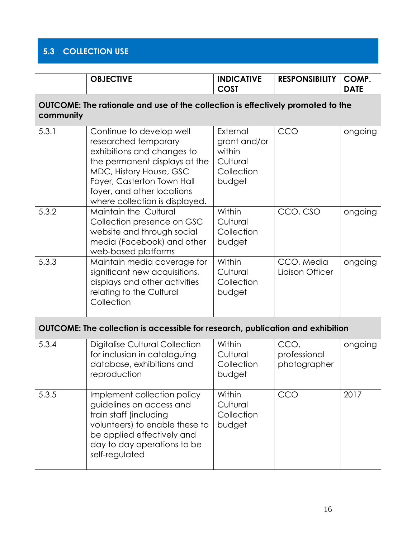# **5.3 COLLECTION USE**

|           | <b>OBJECTIVE</b>                                                                                                                                                                                                                         | <b>INDICATIVE</b><br><b>COST</b>                                       | <b>RESPONSIBILITY</b>                | COMP.<br><b>DATE</b> |
|-----------|------------------------------------------------------------------------------------------------------------------------------------------------------------------------------------------------------------------------------------------|------------------------------------------------------------------------|--------------------------------------|----------------------|
| community | OUTCOME: The rationale and use of the collection is effectively promoted to the                                                                                                                                                          |                                                                        |                                      |                      |
| 5.3.1     | Continue to develop well<br>researched temporary<br>exhibitions and changes to<br>the permanent displays at the<br>MDC, History House, GSC<br>Foyer, Casterton Town Hall<br>foyer, and other locations<br>where collection is displayed. | External<br>grant and/or<br>within<br>Cultural<br>Collection<br>budget | CCO                                  | ongoing              |
| 5.3.2     | Maintain the Cultural<br>Collection presence on GSC<br>website and through social<br>media (Facebook) and other<br>web-based platforms                                                                                                   | Within<br>Cultural<br>Collection<br>budget                             | CCO, CSO                             | ongoing              |
| 5.3.3     | Maintain media coverage for<br>significant new acquisitions,<br>displays and other activities<br>relating to the Cultural<br>Collection                                                                                                  | Within<br>Cultural<br>Collection<br>budget                             | CCO, Media<br>Liaison Officer        | ongoing              |
|           | OUTCOME: The collection is accessible for research, publication and exhibition                                                                                                                                                           |                                                                        |                                      |                      |
| 5.3.4     | <b>Digitalise Cultural Collection</b><br>for inclusion in cataloguing<br>database, exhibitions and<br>reproduction                                                                                                                       | Within<br>Cultural<br>Collection<br>budget                             | CCO,<br>professional<br>photographer | ongoing              |
| 5.3.5     | Implement collection policy<br>guidelines on access and<br>train staff (including<br>volunteers) to enable these to<br>be applied effectively and<br>day to day operations to be<br>self-regulated                                       | Within<br>Cultural<br>Collection<br>budget                             | CCO                                  | 2017                 |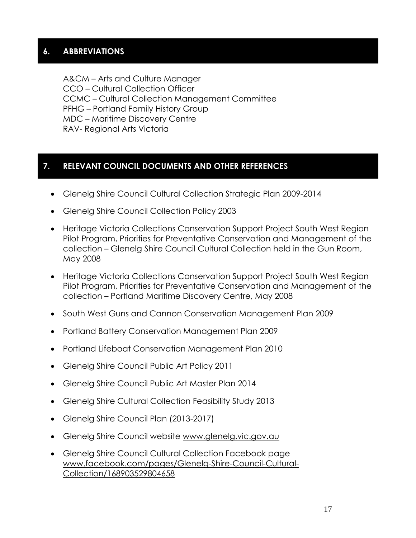#### **6. ABBREVIATIONS**

A&CM – Arts and Culture Manager CCO – Cultural Collection Officer CCMC – Cultural Collection Management Committee PFHG – Portland Family History Group MDC – Maritime Discovery Centre RAV- Regional Arts Victoria

#### **7. RELEVANT COUNCIL DOCUMENTS AND OTHER REFERENCES**

- Glenelg Shire Council Cultural Collection Strategic Plan 2009-2014
- Glenelg Shire Council Collection Policy 2003
- Heritage Victoria Collections Conservation Support Project South West Region Pilot Program, Priorities for Preventative Conservation and Management of the collection – Glenelg Shire Council Cultural Collection held in the Gun Room, May 2008
- Heritage Victoria Collections Conservation Support Project South West Region Pilot Program, Priorities for Preventative Conservation and Management of the collection – Portland Maritime Discovery Centre, May 2008
- South West Guns and Cannon Conservation Management Plan 2009
- Portland Battery Conservation Management Plan 2009
- Portland Lifeboat Conservation Management Plan 2010
- Glenelg Shire Council Public Art Policy 2011
- Glenelg Shire Council Public Art Master Plan 2014
- Glenelg Shire Cultural Collection Feasibility Study 2013
- Glenelg Shire Council Plan (2013-2017)
- Glenelg Shire Council website [www.glenelg.vic.gov.au](http://www.glenelg.vic.gov.au/)
- Glenelg Shire Council Cultural Collection Facebook page [www.facebook.com/pages/Glenelg-Shire-Council-Cultural-](http://www.facebook.com/pages/Glenelg-Shire-Council-Cultural-Collection/168903529804658)[Collection/168903529804658](http://www.facebook.com/pages/Glenelg-Shire-Council-Cultural-Collection/168903529804658)